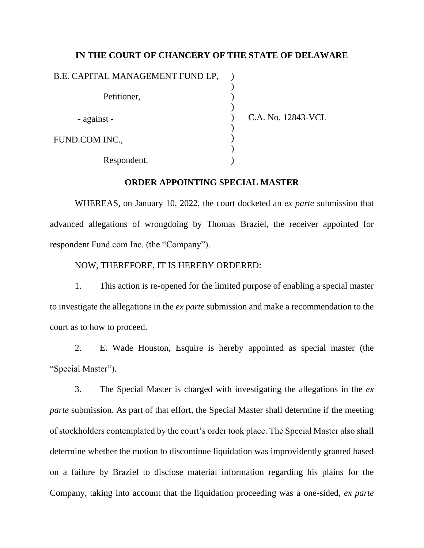## **IN THE COURT OF CHANCERY OF THE STATE OF DELAWARE**

| B.E. CAPITAL MANAGEMENT FUND LP, |                    |
|----------------------------------|--------------------|
| Petitioner,                      |                    |
| - against -                      | C.A. No. 12843-VCL |
| FUND.COM INC.,                   |                    |
| Respondent.                      |                    |

## **ORDER APPOINTING SPECIAL MASTER**

WHEREAS, on January 10, 2022, the court docketed an *ex parte* submission that advanced allegations of wrongdoing by Thomas Braziel, the receiver appointed for respondent Fund.com Inc. (the "Company").

NOW, THEREFORE, IT IS HEREBY ORDERED:

1. This action is re-opened for the limited purpose of enabling a special master to investigate the allegations in the *ex parte* submission and make a recommendation to the court as to how to proceed.

2. E. Wade Houston, Esquire is hereby appointed as special master (the "Special Master").

3. The Special Master is charged with investigating the allegations in the *ex parte* submission. As part of that effort, the Special Master shall determine if the meeting of stockholders contemplated by the court's order took place. The Special Master also shall determine whether the motion to discontinue liquidation was improvidently granted based on a failure by Braziel to disclose material information regarding his plains for the Company, taking into account that the liquidation proceeding was a one-sided, *ex parte*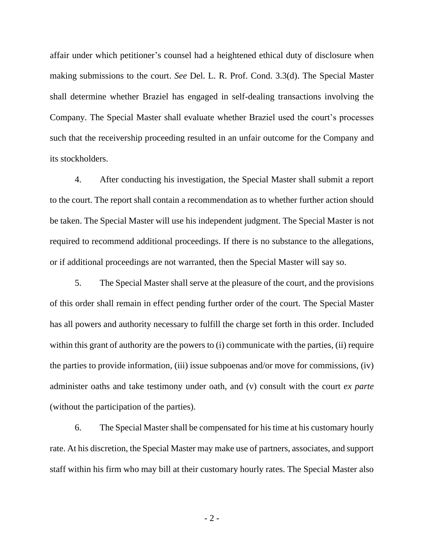affair under which petitioner's counsel had a heightened ethical duty of disclosure when making submissions to the court. *See* Del. L. R. Prof. Cond. 3.3(d). The Special Master shall determine whether Braziel has engaged in self-dealing transactions involving the Company. The Special Master shall evaluate whether Braziel used the court's processes such that the receivership proceeding resulted in an unfair outcome for the Company and its stockholders.

4. After conducting his investigation, the Special Master shall submit a report to the court. The report shall contain a recommendation as to whether further action should be taken. The Special Master will use his independent judgment. The Special Master is not required to recommend additional proceedings. If there is no substance to the allegations, or if additional proceedings are not warranted, then the Special Master will say so.

5. The Special Master shall serve at the pleasure of the court, and the provisions of this order shall remain in effect pending further order of the court. The Special Master has all powers and authority necessary to fulfill the charge set forth in this order. Included within this grant of authority are the powers to (i) communicate with the parties, (ii) require the parties to provide information, (iii) issue subpoenas and/or move for commissions, (iv) administer oaths and take testimony under oath, and (v) consult with the court *ex parte*  (without the participation of the parties).

6. The Special Master shall be compensated for his time at his customary hourly rate. At his discretion, the Special Master may make use of partners, associates, and support staff within his firm who may bill at their customary hourly rates. The Special Master also

- 2 -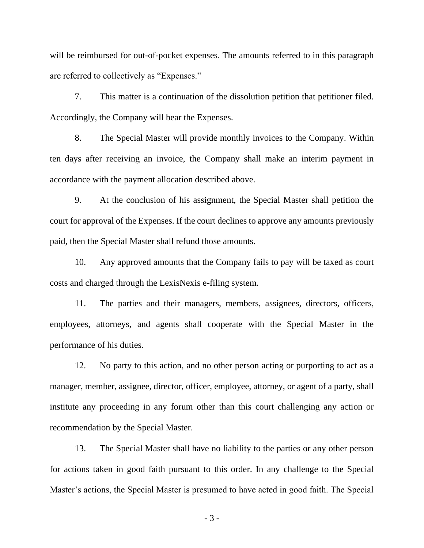will be reimbursed for out-of-pocket expenses. The amounts referred to in this paragraph are referred to collectively as "Expenses."

7. This matter is a continuation of the dissolution petition that petitioner filed. Accordingly, the Company will bear the Expenses.

8. The Special Master will provide monthly invoices to the Company. Within ten days after receiving an invoice, the Company shall make an interim payment in accordance with the payment allocation described above.

9. At the conclusion of his assignment, the Special Master shall petition the court for approval of the Expenses. If the court declines to approve any amounts previously paid, then the Special Master shall refund those amounts.

10. Any approved amounts that the Company fails to pay will be taxed as court costs and charged through the LexisNexis e-filing system.

11. The parties and their managers, members, assignees, directors, officers, employees, attorneys, and agents shall cooperate with the Special Master in the performance of his duties.

12. No party to this action, and no other person acting or purporting to act as a manager, member, assignee, director, officer, employee, attorney, or agent of a party, shall institute any proceeding in any forum other than this court challenging any action or recommendation by the Special Master.

13. The Special Master shall have no liability to the parties or any other person for actions taken in good faith pursuant to this order. In any challenge to the Special Master's actions, the Special Master is presumed to have acted in good faith. The Special

- 3 -